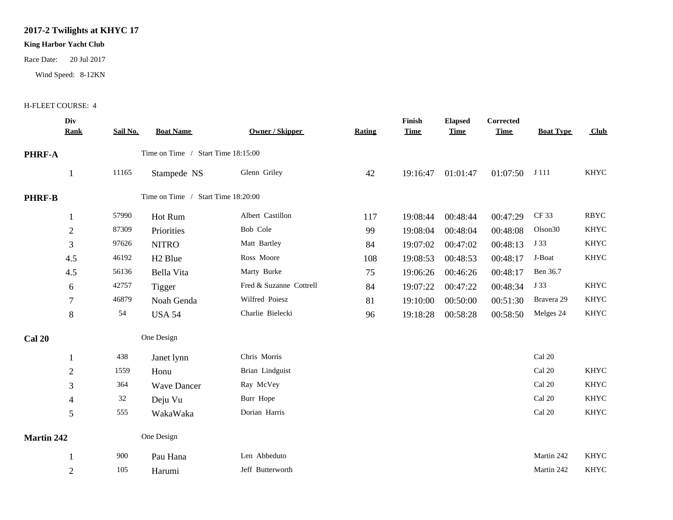## **2017-2 Twilights at KHYC 17**

## **King Harbor Yacht Club**

Race Date: 20 Jul 2017

Wind Speed: 8-12KN

## H-FLEET COURSE: 4

| Div<br><b>Rank</b> | Sail No. | <b>Boat Name</b>    | <b>Owner / Skipper</b>  | <b>Rating</b>                                                            | Finish<br><b>Time</b> | <b>Elapsed</b><br><b>Time</b> | <b>Corrected</b><br><b>Time</b> | <b>Boat Type</b>    | Club        |
|--------------------|----------|---------------------|-------------------------|--------------------------------------------------------------------------|-----------------------|-------------------------------|---------------------------------|---------------------|-------------|
| PHRF-A             |          |                     |                         |                                                                          |                       |                               |                                 |                     |             |
|                    | 11165    | Stampede NS         | Glenn Griley            | 42                                                                       | 19:16:47              | 01:01:47                      | 01:07:50                        | J 111               | <b>KHYC</b> |
| <b>PHRF-B</b>      |          |                     |                         |                                                                          |                       |                               |                                 |                     |             |
|                    | 57990    | Hot Rum             | Albert Castillon        | 117                                                                      | 19:08:44              | 00:48:44                      | 00:47:29                        | CF 33               | <b>RBYC</b> |
| $\overline{2}$     | 87309    | Priorities          | Bob Cole                | 99                                                                       | 19:08:04              | 00:48:04                      | 00:48:08                        | Olson <sub>30</sub> | <b>KHYC</b> |
| $\mathfrak{Z}$     | 97626    | <b>NITRO</b>        | Matt Bartley            | 84                                                                       | 19:07:02              | 00:47:02                      | 00:48:13                        | J 33                | <b>KHYC</b> |
| 4.5                | 46192    | H <sub>2</sub> Blue | Ross Moore              | 108                                                                      | 19:08:53              | 00:48:53                      | 00:48:17                        | J-Boat              | <b>KHYC</b> |
| 4.5                | 56136    | Bella Vita          | Marty Burke             | 75                                                                       | 19:06:26              | 00:46:26                      | 00:48:17                        | Ben 36.7            |             |
| 6                  | 42757    | Tigger              | Fred & Suzanne Cottrell | 84                                                                       | 19:07:22              | 00:47:22                      | 00:48:34                        | J 33                | <b>KHYC</b> |
| $\tau$             | 46879    | Noah Genda          | Wilfred Poiesz          | 81                                                                       | 19:10:00              | 00:50:00                      | 00:51:30                        | Bravera 29          | <b>KHYC</b> |
| 8                  | 54       | <b>USA 54</b>       | Charlie Bielecki        | 96                                                                       | 19:18:28              | 00:58:28                      | 00:58:50                        | Melges 24           | KHYC        |
| One Design         |          |                     |                         |                                                                          |                       |                               |                                 |                     |             |
| 1                  | 438      | Janet lynn          | Chris Morris            |                                                                          |                       |                               |                                 | Cal 20              |             |
| $\overline{2}$     | 1559     | Honu                | Brian Lindguist         |                                                                          |                       |                               |                                 | Cal 20              | <b>KHYC</b> |
| $\mathfrak{Z}$     | 364      | <b>Wave Dancer</b>  | Ray McVey               |                                                                          |                       |                               |                                 | Cal 20              | <b>KHYC</b> |
| $\overline{4}$     | $32\,$   | Deju Vu             | Burr Hope               |                                                                          |                       |                               |                                 | Cal 20              | <b>KHYC</b> |
| 5                  | 555      | WakaWaka            | Dorian Harris           |                                                                          |                       |                               |                                 | Cal 20              | <b>KHYC</b> |
| Martin 242         |          |                     |                         |                                                                          |                       |                               |                                 |                     |             |
|                    | 900      | Pau Hana            | Len Abbeduto            |                                                                          |                       |                               |                                 | Martin 242          | <b>KHYC</b> |
| $\overline{2}$     | 105      | Harumi              | Jeff Butterworth        |                                                                          |                       |                               |                                 | Martin 242          | <b>KHYC</b> |
|                    |          |                     | One Design              | Time on Time / Start Time 18:15:00<br>Time on Time / Start Time 18:20:00 |                       |                               |                                 |                     |             |